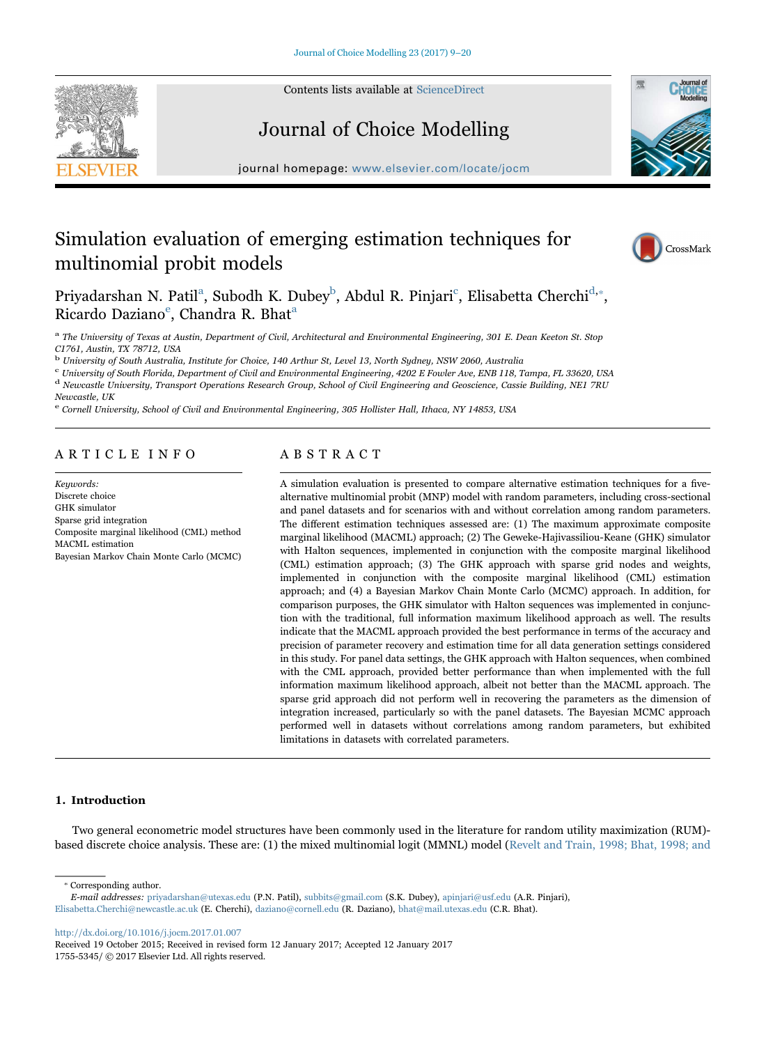Contents lists available at ScienceDirect





# Journal of Choice Modelling

journal homepage: www.elsevier.com/locate/jocm

# Simulation evaluation of emerging estimation techniques for multinomial probit models



Priyadarshan N. Patil<sup>a</sup>, Subodh K. Dubey<sup>b</sup>, Abdul R. Pinjari<sup>c</sup>, Elisabetta Cherchi<sup>d,\*</sup>, Ricardo Daziano<sup>e</sup>, Chandra R. Bhat<sup>a</sup>

<sup>a</sup> The University of Texas at Austin, Department of Civil, Architectural and Environmental Engineering, 301 E. Dean Keeton St. Stop C1761, Austin, TX 78712, USA

<sup>b</sup> University of South Australia, Institute for Choice, 140 Arthur St, Level 13, North Sydney, NSW 2060, Australia

<sup>c</sup> University of South Florida, Department of Civil and Environmental Engineering, 4202 E Fowler Ave, ENB 118, Tampa, FL 33620, USA

 $^{\rm d}$  Newcastle University, Transport Operations Research Group, School of Civil Engineering and Geoscience, Cassie Building, NE1 7RU

Newcastle, UK

<sup>e</sup> Cornell University, School of Civil and Environmental Engineering, 305 Hollister Hall, Ithaca, NY 14853, USA

# ARTICLE INFO

Keywords: Discrete choice GHK simulator Sparse grid integration Composite marginal likelihood (CML) method MACML estimation Bayesian Markov Chain Monte Carlo (MCMC)

# ABSTRACT

A simulation evaluation is presented to compare alternative estimation techniques for a fivealternative multinomial probit (MNP) model with random parameters, including cross-sectional and panel datasets and for scenarios with and without correlation among random parameters. The different estimation techniques assessed are: (1) The maximum approximate composite marginal likelihood (MACML) approach; (2) The Geweke-Hajivassiliou-Keane (GHK) simulator with Halton sequences, implemented in conjunction with the composite marginal likelihood (CML) estimation approach; (3) The GHK approach with sparse grid nodes and weights, implemented in conjunction with the composite marginal likelihood (CML) estimation approach; and (4) a Bayesian Markov Chain Monte Carlo (MCMC) approach. In addition, for comparison purposes, the GHK simulator with Halton sequences was implemented in conjunction with the traditional, full information maximum likelihood approach as well. The results indicate that the MACML approach provided the best performance in terms of the accuracy and precision of parameter recovery and estimation time for all data generation settings considered in this study. For panel data settings, the GHK approach with Halton sequences, when combined with the CML approach, provided better performance than when implemented with the full information maximum likelihood approach, albeit not better than the MACML approach. The sparse grid approach did not perform well in recovering the parameters as the dimension of integration increased, particularly so with the panel datasets. The Bayesian MCMC approach performed well in datasets without correlations among random parameters, but exhibited limitations in datasets with correlated parameters.

# 1. Introduction

Two general econometric model structures have been commonly used in the literature for random utility maximization (RUM) based discrete choice analysis. These are: (1) the mixed multinomial logit (MMNL) model (Revelt and Train, 1998; Bhat, 1998; and

⁎ Corresponding author.

http://dx.doi.org/10.1016/j.jocm.2017.01.007

Received 19 October 2015; Received in revised form 12 January 2017; Accepted 12 January 2017 1755-5345/ © 2017 Elsevier Ltd. All rights reserved.

E-mail addresses: priyadarshan@utexas.edu (P.N. Patil), subbits@gmail.com (S.K. Dubey), apinjari@usf.edu (A.R. Pinjari), Elisabetta.Cherchi@newcastle.ac.uk (E. Cherchi), daziano@cornell.edu (R. Daziano), bhat@mail.utexas.edu (C.R. Bhat).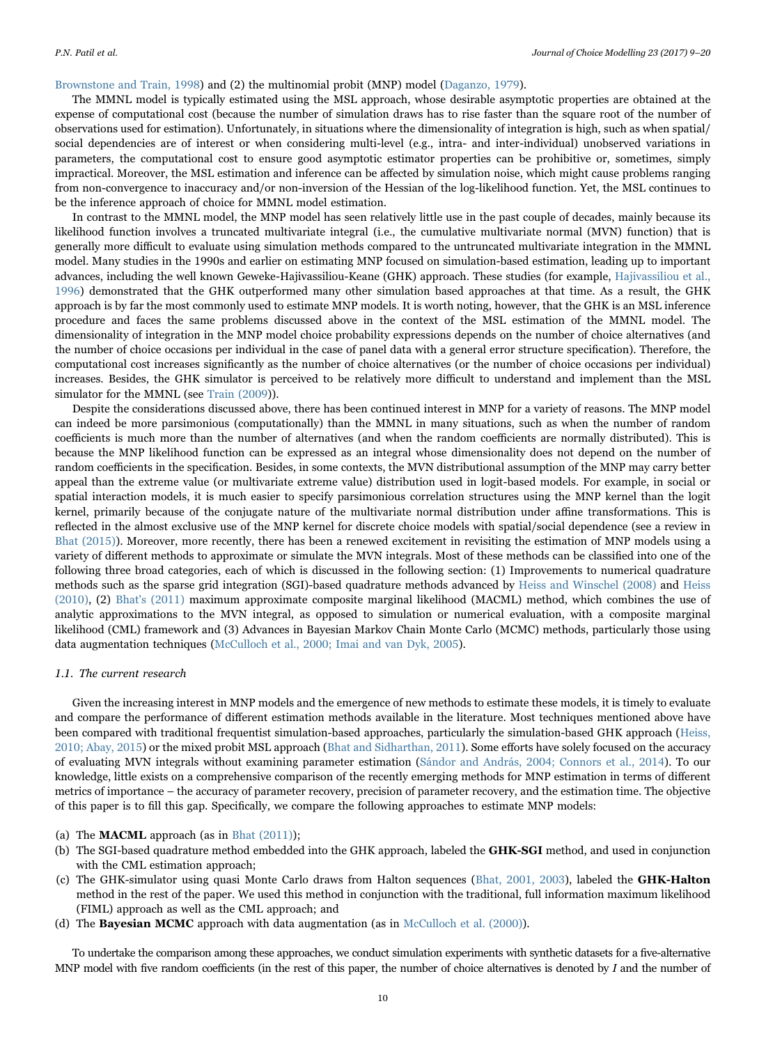## Brownstone and Train, 1998) and (2) the multinomial probit (MNP) model (Daganzo, 1979).

The MMNL model is typically estimated using the MSL approach, whose desirable asymptotic properties are obtained at the expense of computational cost (because the number of simulation draws has to rise faster than the square root of the number of observations used for estimation). Unfortunately, in situations where the dimensionality of integration is high, such as when spatial/ social dependencies are of interest or when considering multi-level (e.g., intra- and inter-individual) unobserved variations in parameters, the computational cost to ensure good asymptotic estimator properties can be prohibitive or, sometimes, simply impractical. Moreover, the MSL estimation and inference can be affected by simulation noise, which might cause problems ranging from non-convergence to inaccuracy and/or non-inversion of the Hessian of the log-likelihood function. Yet, the MSL continues to be the inference approach of choice for MMNL model estimation.

In contrast to the MMNL model, the MNP model has seen relatively little use in the past couple of decades, mainly because its likelihood function involves a truncated multivariate integral (i.e., the cumulative multivariate normal (MVN) function) that is generally more difficult to evaluate using simulation methods compared to the untruncated multivariate integration in the MMNL model. Many studies in the 1990s and earlier on estimating MNP focused on simulation-based estimation, leading up to important advances, including the well known Geweke-Hajivassiliou-Keane (GHK) approach. These studies (for example, Hajivassiliou et al., 1996) demonstrated that the GHK outperformed many other simulation based approaches at that time. As a result, the GHK approach is by far the most commonly used to estimate MNP models. It is worth noting, however, that the GHK is an MSL inference procedure and faces the same problems discussed above in the context of the MSL estimation of the MMNL model. The dimensionality of integration in the MNP model choice probability expressions depends on the number of choice alternatives (and the number of choice occasions per individual in the case of panel data with a general error structure specification). Therefore, the computational cost increases significantly as the number of choice alternatives (or the number of choice occasions per individual) increases. Besides, the GHK simulator is perceived to be relatively more difficult to understand and implement than the MSL simulator for the MMNL (see Train (2009)).

Despite the considerations discussed above, there has been continued interest in MNP for a variety of reasons. The MNP model can indeed be more parsimonious (computationally) than the MMNL in many situations, such as when the number of random coefficients is much more than the number of alternatives (and when the random coefficients are normally distributed). This is because the MNP likelihood function can be expressed as an integral whose dimensionality does not depend on the number of random coefficients in the specification. Besides, in some contexts, the MVN distributional assumption of the MNP may carry better appeal than the extreme value (or multivariate extreme value) distribution used in logit-based models. For example, in social or spatial interaction models, it is much easier to specify parsimonious correlation structures using the MNP kernel than the logit kernel, primarily because of the conjugate nature of the multivariate normal distribution under affine transformations. This is reflected in the almost exclusive use of the MNP kernel for discrete choice models with spatial/social dependence (see a review in Bhat (2015)). Moreover, more recently, there has been a renewed excitement in revisiting the estimation of MNP models using a variety of different methods to approximate or simulate the MVN integrals. Most of these methods can be classified into one of the following three broad categories, each of which is discussed in the following section: (1) Improvements to numerical quadrature methods such as the sparse grid integration (SGI)-based quadrature methods advanced by Heiss and Winschel (2008) and Heiss (2010), (2) Bhat's (2011) maximum approximate composite marginal likelihood (MACML) method, which combines the use of analytic approximations to the MVN integral, as opposed to simulation or numerical evaluation, with a composite marginal likelihood (CML) framework and (3) Advances in Bayesian Markov Chain Monte Carlo (MCMC) methods, particularly those using data augmentation techniques (McCulloch et al., 2000; Imai and van Dyk, 2005).

## 1.1. The current research

Given the increasing interest in MNP models and the emergence of new methods to estimate these models, it is timely to evaluate and compare the performance of different estimation methods available in the literature. Most techniques mentioned above have been compared with traditional frequentist simulation-based approaches, particularly the simulation-based GHK approach (Heiss, 2010; Abay, 2015) or the mixed probit MSL approach (Bhat and Sidharthan, 2011). Some efforts have solely focused on the accuracy of evaluating MVN integrals without examining parameter estimation (Sándor and András, 2004; Connors et al., 2014). To our knowledge, little exists on a comprehensive comparison of the recently emerging methods for MNP estimation in terms of different metrics of importance – the accuracy of parameter recovery, precision of parameter recovery, and the estimation time. The objective of this paper is to fill this gap. Specifically, we compare the following approaches to estimate MNP models:

- (a) The **MACML** approach (as in Bhat  $(2011)$ );
- (b) The SGI-based quadrature method embedded into the GHK approach, labeled the GHK-SGI method, and used in conjunction with the CML estimation approach;
- (c) The GHK-simulator using quasi Monte Carlo draws from Halton sequences (Bhat, 2001, 2003), labeled the GHK-Halton method in the rest of the paper. We used this method in conjunction with the traditional, full information maximum likelihood (FIML) approach as well as the CML approach; and
- (d) The **Bayesian MCMC** approach with data augmentation (as in McCulloch et al. (2000)).

To undertake the comparison among these approaches, we conduct simulation experiments with synthetic datasets for a five-alternative MNP model with five random coefficients (in the rest of this paper, the number of choice alternatives is denoted by I and the number of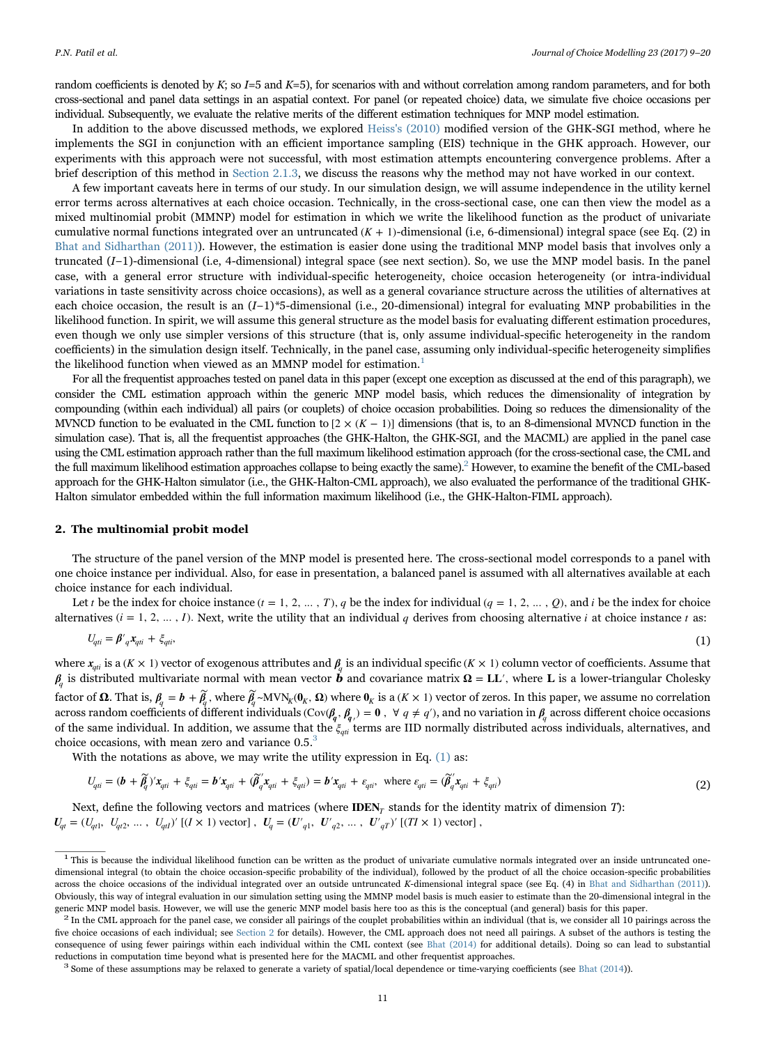random coefficients is denoted by  $K$ ; so  $I=5$  and  $K=5$ ), for scenarios with and without correlation among random parameters, and for both cross-sectional and panel data settings in an aspatial context. For panel (or repeated choice) data, we simulate five choice occasions per individual. Subsequently, we evaluate the relative merits of the different estimation techniques for MNP model estimation.

In addition to the above discussed methods, we explored Heiss's (2010) modified version of the GHK-SGI method, where he implements the SGI in conjunction with an efficient importance sampling (EIS) technique in the GHK approach. However, our experiments with this approach were not successful, with most estimation attempts encountering convergence problems. After a brief description of this method in Section 2.1.3, we discuss the reasons why the method may not have worked in our context.

A few important caveats here in terms of our study. In our simulation design, we will assume independence in the utility kernel error terms across alternatives at each choice occasion. Technically, in the cross-sectional case, one can then view the model as a mixed multinomial probit (MMNP) model for estimation in which we write the likelihood function as the product of univariate cumulative normal functions integrated over an untruncated  $(K + 1)$ -dimensional (i.e, 6-dimensional) integral space (see Eq. (2) in Bhat and Sidharthan (2011)). However, the estimation is easier done using the traditional MNP model basis that involves only a truncated (I−1)-dimensional (i.e, 4-dimensional) integral space (see next section). So, we use the MNP model basis. In the panel case, with a general error structure with individual-specific heterogeneity, choice occasion heterogeneity (or intra-individual variations in taste sensitivity across choice occasions), as well as a general covariance structure across the utilities of alternatives at each choice occasion, the result is an  $(I-1)$ \*5-dimensional (i.e., 20-dimensional) integral for evaluating MNP probabilities in the likelihood function. In spirit, we will assume this general structure as the model basis for evaluating different estimation procedures, even though we only use simpler versions of this structure (that is, only assume individual-specific heterogeneity in the random coefficients) in the simulation design itself. Technically, in the panel case, assuming only individual-specific heterogeneity simplifies the likelihood function when viewed as an MMNP model for estimation.<sup>1</sup>

For all the frequentist approaches tested on panel data in this paper (except one exception as discussed at the end of this paragraph), we consider the CML estimation approach within the generic MNP model basis, which reduces the dimensionality of integration by compounding (within each individual) all pairs (or couplets) of choice occasion probabilities. Doing so reduces the dimensionality of the MVNCD function to be evaluated in the CML function to  $[2 \times (K-1)]$  dimensions (that is, to an 8-dimensional MVNCD function in the simulation case). That is, all the frequentist approaches (the GHK-Halton, the GHK-SGI, and the MACML) are applied in the panel case using the CML estimation approach rather than the full maximum likelihood estimation approach (for the cross-sectional case, the CML and the full maximum likelihood estimation approaches collapse to being exactly the same).<sup>2</sup> However, to examine the benefit of the CML-based approach for the GHK-Halton simulator (i.e., the GHK-Halton-CML approach), we also evaluated the performance of the traditional GHK-Halton simulator embedded within the full information maximum likelihood (i.e., the GHK-Halton-FIML approach).

# 2. The multinomial probit model

The structure of the panel version of the MNP model is presented here. The cross-sectional model corresponds to a panel with one choice instance per individual. Also, for ease in presentation, a balanced panel is assumed with all alternatives available at each choice instance for each individual.

Let *t* be the index for choice instance  $(t = 1, 2, ..., T)$ , *q* be the index for individual  $(q = 1, 2, ..., Q)$ , and *i* be the index for choice alternatives  $(i = 1, 2, ..., I)$ . Next, write the utility that an individual *q* derives from choosing alternative *i* at choice instance *t* as:

$$
U_{qi} = \beta' \, q \mathbf{x}_{qi} + \xi_{qli},\tag{1}
$$

where  $x_{qti}$  is a ( $K \times 1$ ) vector of exogenous attributes and  $\beta$  is an individual specific ( $K \times 1$ ) column vector of coefficients. Assume that  $β<sub>i</sub>$  is distributed multivariate normal with mean vector **b** and covariance matrix **Ω** = **L**L', where **L** is a lower-triangular Cholesky factor of  $\Omega$ . That is,  $\beta_q = b + \widetilde{\beta}_q$ , where  $\widetilde{\beta_q} \sim \text{MVN}_K(\mathbf{0}_K, \Omega)$  where  $\mathbf{0}_K$  is a  $(K \times 1)$  vector of zeros. In this paper, we assume no correlation across random coefficients of different individuals  $(Cov(\theta_q, \theta_q) = 0, \forall q \neq q')$ , and no variation in  $\theta_q$  across different choice occasions of the same individual. In addition, we assume that the *ξ<sub>qui</sub>* terms are IID normally distributed across individuals, alternatives, and choice occasions, with mean zero and variance  $0.5<sup>3</sup>$ 

With the notations as above, we may write the utility expression in Eq. (1) as:

$$
U_{qii} = (\boldsymbol{b} + \widetilde{\beta}_q)' \mathbf{x}_{qii} + \xi_{qii} = \boldsymbol{b}' \mathbf{x}_{qii} + (\widetilde{\beta}_q' \mathbf{x}_{qii} + \xi_{qii}) = \boldsymbol{b}' \mathbf{x}_{qii} + \varepsilon_{qii}, \text{ where } \varepsilon_{qii} = (\widetilde{\beta}_q' \mathbf{x}_{qii} + \xi_{qii})
$$
\n(2)

Next, define the following vectors and matrices (where **IDEN**<sub>*T*</sub> stands for the identity matrix of dimension *T*):  $U_{qt} = (U_{qt1}, U_{qt2}, \dots, U_{qt1})'$  [ $(I \times 1)$  vector],  $U_q = (U'_{q1}, U'_{q2}, \dots, U'_{qT})'$  [ $(TI \times 1)$  vector],

<sup>&</sup>lt;sup>1</sup> This is because the individual likelihood function can be written as the product of univariate cumulative normals integrated over an inside untruncated onedimensional integral (to obtain the choice occasion-specific probability of the individual), followed by the product of all the choice occasion-specific probabilities across the choice occasions of the individual integrated over an outside untruncated K-dimensional integral space (see Eq. (4) in Bhat and Sidharthan (2011)). Obviously, this way of integral evaluation in our simulation setting using the MMNP model basis is much easier to estimate than the 20-dimensional integral in the generic MNP model basis. However, we will use the generic M

In the CML approach for the panel case, we consider all pairings of the couplet probabilities within an individual (that is, we consider all 10 pairings across the five choice occasions of each individual; see Section 2 for details). However, the CML approach does not need all pairings. A subset of the authors is testing the consequence of using fewer pairings within each individual within the CML context (see Bhat (2014) for additional details). Doing so can lead to substantial reductions in computation time beyond what is presented here for the MACML and other frequentist approaches.<br><sup>3</sup> Some of these assumptions may be relaxed to generate a variety of spatial/local dependence or time-varying co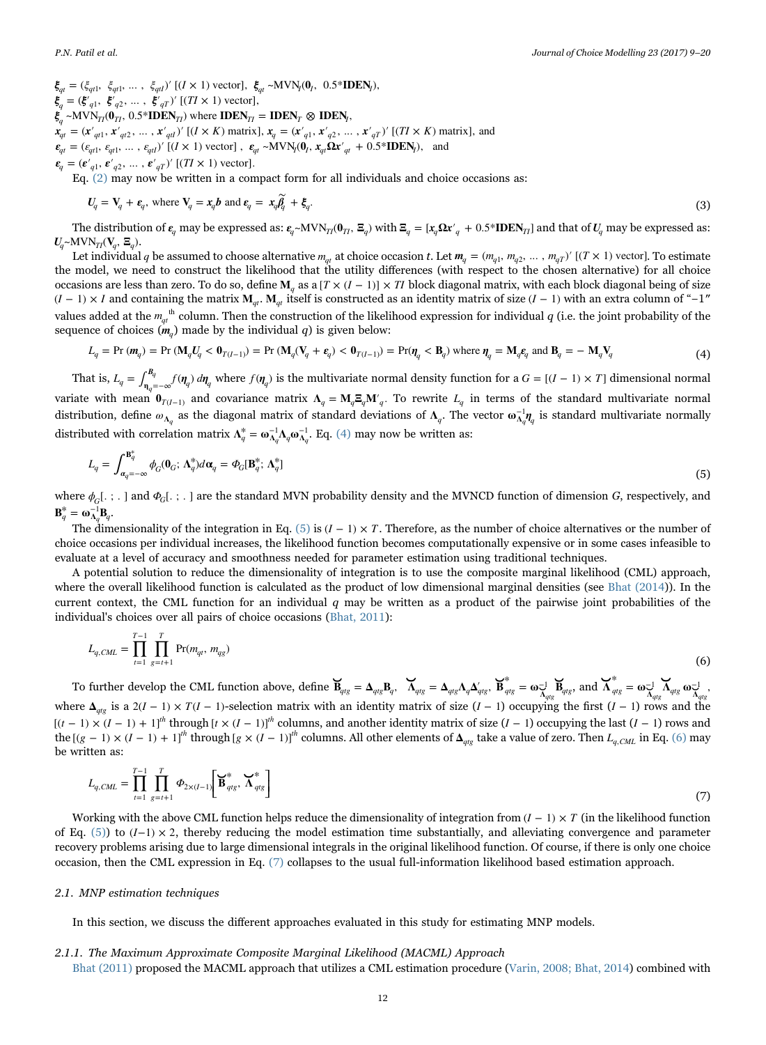$\xi_{qt} = (\xi_{qt1}, \xi_{qt1}, \dots, \xi_{qtl})'$  [( $I \times 1$ ) vector],  $\xi_{qt} \sim \text{MVN}_I(\mathbf{0}_I, 0.5^* \mathbf{IDEN}_I)$ ,  $\boldsymbol{\xi}_q = (\boldsymbol{\xi'}_{q1}, \ \boldsymbol{\xi'}_{q2}, \ \dots, \ \boldsymbol{\xi'}_{qT})'$  [( $TI \times 1$ ) vector],  $\boldsymbol{\xi}_q$  ~MVN<sub>TI</sub>( $\boldsymbol{0}_{T}$ , 0.5\***IDEN**<sub>TI</sub>) where **IDEN**<sub>TI</sub> = **IDEN**<sub>T</sub>  $\otimes$  **IDEN**<sub>t</sub>,  $\mathbf{x}_{qt} = (\mathbf{x}'_{qt1}, \mathbf{x}'_{qt2}, \dots, \mathbf{x}'_{qt})'$  [( $I \times K$ ) matrix],  $\mathbf{x}_{qt} = (\mathbf{x}'_{qt}, \mathbf{x}'_{q2}, \dots, \mathbf{x}'_{qT})'$  [( $TI \times K$ ) matrix], and  $\epsilon_{qt} = (\epsilon_{qt1}, \epsilon_{qt1}, \dots, \epsilon_{qtl})'$  [( $I \times 1$ ) vector],  $\epsilon_{qt} \sim \text{MVN}_l(\mathbf{0}_l, \mathbf{x}_{qt} \mathbf{\Omega} \mathbf{x'}_{qt} + 0.5^* \mathbf{IDEN}_l)$ , and  $\epsilon_q = (\epsilon'_{q1}, \epsilon'_{q2}, \dots, \epsilon'_{qT})'$  [(*TI* × 1) vector].

Eq. (2) may now be written in a compact form for all individuals and choice occasions as:

$$
U_q = \mathbf{V}_q + \boldsymbol{\epsilon}_q, \text{ where } \mathbf{V}_q = \mathbf{x}_q \mathbf{b} \text{ and } \boldsymbol{\epsilon}_q = \mathbf{x}_q \widetilde{\boldsymbol{\beta}}_q + \boldsymbol{\xi}_q. \tag{3}
$$

The distribution of  $\epsilon_a$  may be expressed as:  $\epsilon_a \sim MVM_{T}(0_T, \Xi_a)$  with  $\Xi_a = [x_a \Omega x'_a + 0.5*IDEN_{T1}]$  and that of  $U_a$  may be expressed as:  $U_a \sim \text{MVN}_{TI}(\mathbf{V}_a, \Xi_a)$ .

Let individual *q* be assumed to choose alternative  $m_{at}$  at choice occasion t. Let  $m_a = (m_{a1}, m_{a2}, \dots, m_{aT})'$  [( $T \times 1$ ) vector]. To estimate the model, we need to construct the likelihood that the utility differences (with respect to the chosen alternative) for all choice occasions are less than zero. To do so, define  $M_a$  as a  $[T \times (I - 1)] \times TI$  block diagonal matrix, with each block diagonal being of size  $(I-1) \times I$  and containing the matrix  $M_{qt}$ .  $M_{qt}$  itself is constructed as an identity matrix of size  $(I-1)$  with an extra column of "−1" values added at the  $m_{qt}$ <sup>th</sup> column. Then the construction of the likelihood expression for individual  $q$  (i.e. the joint probability of the sequence of choices  $(m<sub>a</sub>)$  made by the individual q) is given below:

$$
L_q = \Pr\left(\mathbf{M}_q U_q < \mathbf{0}_{T(I-1)}\right) = \Pr\left(\mathbf{M}_q (\mathbf{V}_q + \boldsymbol{\epsilon}_q) < \mathbf{0}_{T(I-1)}\right) = \Pr(\mathbf{\eta}_q < \mathbf{B}_q) \text{ where } \mathbf{\eta}_q = \mathbf{M}_q \boldsymbol{\epsilon}_q \text{ and } \mathbf{B}_q = -\mathbf{M}_q \mathbf{V}_q \tag{4}
$$

That is,  $L_q = \int_{\eta_q = -\infty}^{\mathcal{B}_q} f(\eta_q) d\eta_q$  where  $f(\eta_q)$  is the multivariate normal density function for a  $G = [(I-1) \times T]$  dimensional normal variate with mean  $\mathbf{0}_{T(I-1)}$  and covariance matrix  $\mathbf{\Lambda}_q = \mathbf{M}_q \mathbf{E}_q \mathbf{M}'_q$ . To rewrite  $L_q$  in terms of the standard multivariate normal distribution, define *<sup>ω</sup>***<sup>Λ</sup>***<sup>q</sup>* as the diagonal matrix of standard deviations of **<sup>Λ</sup>***q*. The vector **<sup>ω</sup>** *<sup>η</sup>* **<sup>Λ</sup>** *<sup>q</sup>* −1 *<sup>q</sup>* is standard multivariate normally distributed with correlation matrix  $\Lambda_q^* = \omega_{\Lambda_q}^{-1} \Lambda_q \omega_{\Lambda_q}^{-1}$ . Eq. (4) may now be written as:

$$
L_q = \int_{\alpha_q = -\infty}^{\mathbf{B}_q^*} \phi_G(\mathbf{0}_G; \Lambda_q^*) d\alpha_q = \phi_G[\mathbf{B}_q^*; \Lambda_q^*]
$$
\n(5)

where  $\phi_c$ [.;.] and  $\phi_c$ [.;.] are the standard MVN probability density and the MVNCD function of dimension G, respectively, and  $\mathbf{B}_q^* = \mathbf{\omega}_{\Lambda_q}^{-1} \mathbf{B}_q.$ 

The dimensionality of the integration in Eq. (5) is  $(I - 1) \times T$ . Therefore, as the number of choice alternatives or the number of choice occasions per individual increases, the likelihood function becomes computationally expensive or in some cases infeasible to evaluate at a level of accuracy and smoothness needed for parameter estimation using traditional techniques.

A potential solution to reduce the dimensionality of integration is to use the composite marginal likelihood (CML) approach, where the overall likelihood function is calculated as the product of low dimensional marginal densities (see Bhat (2014)). In the current context, the CML function for an individual  $q$  may be written as a product of the pairwise joint probabilities of the individual's choices over all pairs of choice occasions (Bhat, 2011):

$$
L_{q,CML} = \prod_{t=1}^{T-1} \prod_{g=t+1}^{T} \Pr(m_{qt}, m_{qg})
$$
\n(6)

To further develop the CML function above, define  $\mathbf{B}_{q/g} = \mathbf{\Delta}_{qtg} \mathbf{B}_{q}$ ,  $\mathbf{\Delta}_{qg} = \mathbf{\Delta}_{qtg} \mathbf{\Delta}_{q} \mathbf{\Delta}_{q'tg}^{\prime}$ ,  $\mathbf{B}_{qtg}^* = \mathbf{\omega}_{\mathbf{\Delta}_{qtg}^{\dagger}} \mathbf{B}_{qtg}$  $\overrightarrow{B}_{qtg}$ , and  $\overrightarrow{A}_{qtg}^* = \omega_{\overrightarrow{A}_{qtg}} \overrightarrow{A}_{qtg} \omega_{\overrightarrow{A}_{qtg}}$ −1 ⊼ − <del>∩−</del>1 *qtg* <sup>1</sup><sup>o</sup> *A<sub>qtg</sub>* where  $\Delta_{abc}$  is a 2(*I* − 1) ×  $T(I - 1)$ -selection matrix with an identity matrix of size (*I* − 1) occupying the first (*I* − 1) rows and the  $[(t-1) \times (I-1) + 1]$ <sup>th</sup> through  $[t \times (I-1)]$ <sup>th</sup> columns, and another identity matrix of size  $(I-1)$  occupying the last  $(I-1)$  rows and the  $[(g - 1) \times (I - 1) + 1]^n$  through  $[g \times (I - 1)]^n$  columns. All other elements of  $\Delta_{qtg}$  take a value of zero. Then  $L_{q, CML}$  in Eq. (6) may be written as:

$$
L_{q,CML} = \prod_{t=1}^{T-1} \prod_{g=t+1}^{T} \Phi_{2\times(I-1)} \left[ \mathbf{B}_{qtg}^*, \mathbf{X}_{qtg}^* \right]
$$
(7)

Working with the above CML function helps reduce the dimensionality of integration from  $(I - 1) \times T$  (in the likelihood function of Eq. (5)) to  $(I-1) \times 2$ , thereby reducing the model estimation time substantially, and alleviating convergence and parameter recovery problems arising due to large dimensional integrals in the original likelihood function. Of course, if there is only one choice occasion, then the CML expression in Eq. (7) collapses to the usual full-information likelihood based estimation approach.

#### 2.1. MNP estimation techniques

In this section, we discuss the different approaches evaluated in this study for estimating MNP models.

#### 2.1.1. The Maximum Approximate Composite Marginal Likelihood (MACML) Approach

Bhat (2011) proposed the MACML approach that utilizes a CML estimation procedure (Varin, 2008; Bhat, 2014) combined with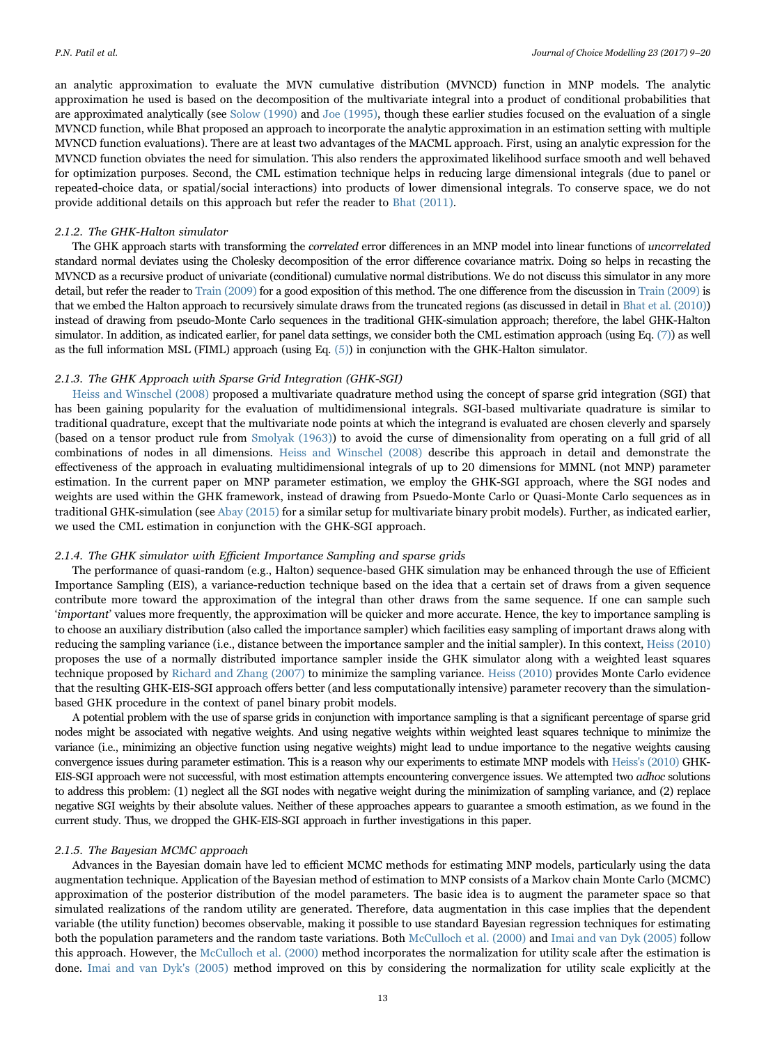an analytic approximation to evaluate the MVN cumulative distribution (MVNCD) function in MNP models. The analytic approximation he used is based on the decomposition of the multivariate integral into a product of conditional probabilities that are approximated analytically (see Solow (1990) and Joe (1995), though these earlier studies focused on the evaluation of a single MVNCD function, while Bhat proposed an approach to incorporate the analytic approximation in an estimation setting with multiple MVNCD function evaluations). There are at least two advantages of the MACML approach. First, using an analytic expression for the MVNCD function obviates the need for simulation. This also renders the approximated likelihood surface smooth and well behaved for optimization purposes. Second, the CML estimation technique helps in reducing large dimensional integrals (due to panel or repeated-choice data, or spatial/social interactions) into products of lower dimensional integrals. To conserve space, we do not provide additional details on this approach but refer the reader to Bhat (2011).

#### 2.1.2. The GHK-Halton simulator

The GHK approach starts with transforming the correlated error differences in an MNP model into linear functions of uncorrelated standard normal deviates using the Cholesky decomposition of the error difference covariance matrix. Doing so helps in recasting the MVNCD as a recursive product of univariate (conditional) cumulative normal distributions. We do not discuss this simulator in any more detail, but refer the reader to Train (2009) for a good exposition of this method. The one difference from the discussion in Train (2009) is that we embed the Halton approach to recursively simulate draws from the truncated regions (as discussed in detail in Bhat et al. (2010)) instead of drawing from pseudo-Monte Carlo sequences in the traditional GHK-simulation approach; therefore, the label GHK-Halton simulator. In addition, as indicated earlier, for panel data settings, we consider both the CML estimation approach (using Eq. (7)) as well as the full information MSL (FIML) approach (using Eq. (5)) in conjunction with the GHK-Halton simulator.

#### 2.1.3. The GHK Approach with Sparse Grid Integration (GHK-SGI)

Heiss and Winschel (2008) proposed a multivariate quadrature method using the concept of sparse grid integration (SGI) that has been gaining popularity for the evaluation of multidimensional integrals. SGI-based multivariate quadrature is similar to traditional quadrature, except that the multivariate node points at which the integrand is evaluated are chosen cleverly and sparsely (based on a tensor product rule from Smolyak (1963)) to avoid the curse of dimensionality from operating on a full grid of all combinations of nodes in all dimensions. Heiss and Winschel (2008) describe this approach in detail and demonstrate the effectiveness of the approach in evaluating multidimensional integrals of up to 20 dimensions for MMNL (not MNP) parameter estimation. In the current paper on MNP parameter estimation, we employ the GHK-SGI approach, where the SGI nodes and weights are used within the GHK framework, instead of drawing from Psuedo-Monte Carlo or Quasi-Monte Carlo sequences as in traditional GHK-simulation (see Abay (2015) for a similar setup for multivariate binary probit models). Further, as indicated earlier, we used the CML estimation in conjunction with the GHK-SGI approach.

#### 2.1.4. The GHK simulator with Efficient Importance Sampling and sparse grids

The performance of quasi-random (e.g., Halton) sequence-based GHK simulation may be enhanced through the use of Efficient Importance Sampling (EIS), a variance-reduction technique based on the idea that a certain set of draws from a given sequence contribute more toward the approximation of the integral than other draws from the same sequence. If one can sample such 'important' values more frequently, the approximation will be quicker and more accurate. Hence, the key to importance sampling is to choose an auxiliary distribution (also called the importance sampler) which facilities easy sampling of important draws along with reducing the sampling variance (i.e., distance between the importance sampler and the initial sampler). In this context, Heiss (2010) proposes the use of a normally distributed importance sampler inside the GHK simulator along with a weighted least squares technique proposed by Richard and Zhang (2007) to minimize the sampling variance. Heiss (2010) provides Monte Carlo evidence that the resulting GHK-EIS-SGI approach offers better (and less computationally intensive) parameter recovery than the simulationbased GHK procedure in the context of panel binary probit models.

A potential problem with the use of sparse grids in conjunction with importance sampling is that a significant percentage of sparse grid nodes might be associated with negative weights. And using negative weights within weighted least squares technique to minimize the variance (i.e., minimizing an objective function using negative weights) might lead to undue importance to the negative weights causing convergence issues during parameter estimation. This is a reason why our experiments to estimate MNP models with Heiss's (2010) GHK-EIS-SGI approach were not successful, with most estimation attempts encountering convergence issues. We attempted two adhoc solutions to address this problem: (1) neglect all the SGI nodes with negative weight during the minimization of sampling variance, and (2) replace negative SGI weights by their absolute values. Neither of these approaches appears to guarantee a smooth estimation, as we found in the current study. Thus, we dropped the GHK-EIS-SGI approach in further investigations in this paper.

# 2.1.5. The Bayesian MCMC approach

Advances in the Bayesian domain have led to efficient MCMC methods for estimating MNP models, particularly using the data augmentation technique. Application of the Bayesian method of estimation to MNP consists of a Markov chain Monte Carlo (MCMC) approximation of the posterior distribution of the model parameters. The basic idea is to augment the parameter space so that simulated realizations of the random utility are generated. Therefore, data augmentation in this case implies that the dependent variable (the utility function) becomes observable, making it possible to use standard Bayesian regression techniques for estimating both the population parameters and the random taste variations. Both McCulloch et al. (2000) and Imai and van Dyk (2005) follow this approach. However, the McCulloch et al. (2000) method incorporates the normalization for utility scale after the estimation is done. Imai and van Dyk's (2005) method improved on this by considering the normalization for utility scale explicitly at the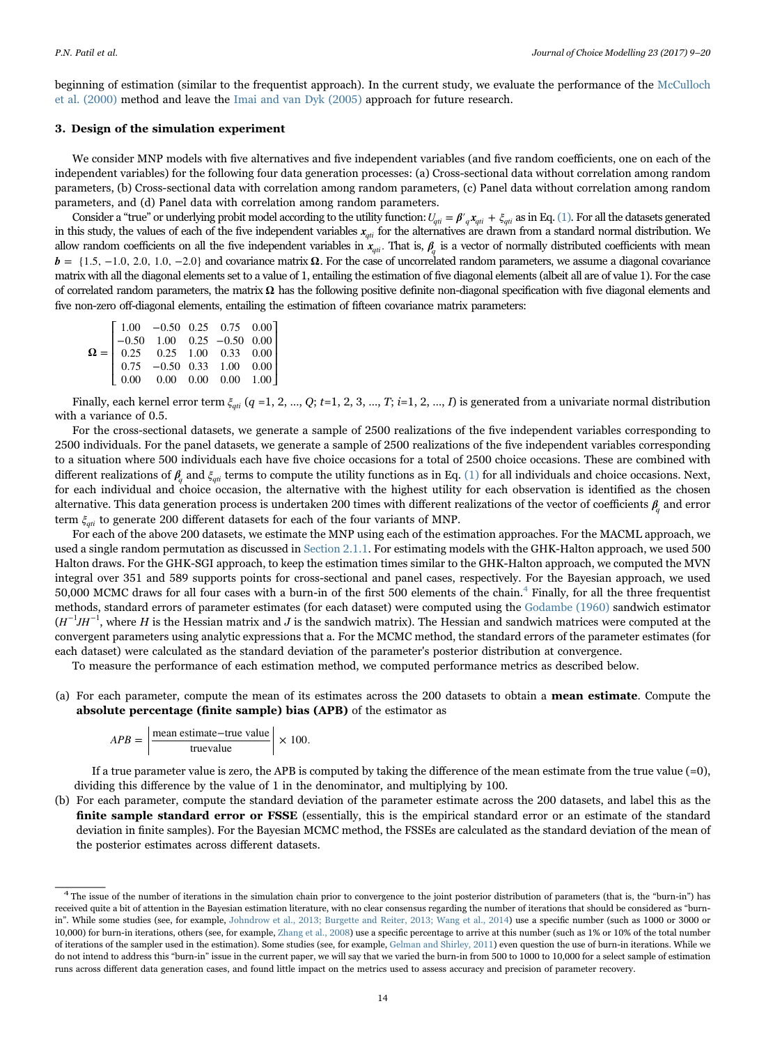beginning of estimation (similar to the frequentist approach). In the current study, we evaluate the performance of the McCulloch et al. (2000) method and leave the Imai and van Dyk (2005) approach for future research.

## 3. Design of the simulation experiment

We consider MNP models with five alternatives and five independent variables (and five random coefficients, one on each of the independent variables) for the following four data generation processes: (a) Cross-sectional data without correlation among random parameters, (b) Cross-sectional data with correlation among random parameters, (c) Panel data without correlation among random parameters, and (d) Panel data with correlation among random parameters.

Consider a "true" or underlying probit model according to the utility function:  $U_{qti} = \beta'_{q} x_{qti} + \xi_{qti}$  as in Eq. (1). For all the datasets generated in this study, the values of each of the five independent variables *xqti* for the alternatives are drawn from a standard normal distribution. We allow random coefficients on all the five independent variables in  $x_{qji}$ . That is,  $\beta_i$  is a vector of normally distributed coefficients with mean  **and covariance matrix <b>Ω**. For the case of uncorrelated random parameters, we assume a diagonal covariance matrix with all the diagonal elements set to a value of 1, entailing the estimation of five diagonal elements (albeit all are of value 1). For the case of correlated random parameters, the matrix **Ω** has the following positive definite non-diagonal specification with five diagonal elements and five non-zero off-diagonal elements, entailing the estimation of fifteen covariance matrix parameters:

| $\pmb{\Omega} = \left[ \begin{array}{cccccc} 1.00 & -0.50 & 0.25 & 0.75 & 0.00 \\ -0.50 & 1.00 & 0.25 & -0.50 & 0.00 \\ 0.25 & 0.25 & 1.00 & 0.33 & 0.00 \\ 0.75 & -0.50 & 0.33 & 1.00 & 0.00 \\ 0.00 & 0.00 & 0.00 & 0.00 & 1.00 \end{array} \right]$ |  |  |
|--------------------------------------------------------------------------------------------------------------------------------------------------------------------------------------------------------------------------------------------------------|--|--|
|                                                                                                                                                                                                                                                        |  |  |
|                                                                                                                                                                                                                                                        |  |  |
|                                                                                                                                                                                                                                                        |  |  |
|                                                                                                                                                                                                                                                        |  |  |

Finally, each kernel error term  $\xi_{qi}$  (q =1, 2, ..., Q; t=1, 2, 3, ..., T; i=1, 2, ..., I) is generated from a univariate normal distribution with a variance of 0.5.

For the cross-sectional datasets, we generate a sample of 2500 realizations of the five independent variables corresponding to 2500 individuals. For the panel datasets, we generate a sample of 2500 realizations of the five independent variables corresponding to a situation where 500 individuals each have five choice occasions for a total of 2500 choice occasions. These are combined with different realizations of *<sup>β</sup><sup>q</sup>* and *ξqti* terms to compute the utility functions as in Eq. (1) for all individuals and choice occasions. Next, for each individual and choice occasion, the alternative with the highest utility for each observation is identified as the chosen alternative. This data generation process is undertaken 200 times with different realizations of the vector of coefficients *<sup>β</sup><sup>q</sup>* and error term  $ξ_{\alpha ti}$  to generate 200 different datasets for each of the four variants of MNP.

For each of the above 200 datasets, we estimate the MNP using each of the estimation approaches. For the MACML approach, we used a single random permutation as discussed in Section 2.1.1. For estimating models with the GHK-Halton approach, we used 500 Halton draws. For the GHK-SGI approach, to keep the estimation times similar to the GHK-Halton approach, we computed the MVN integral over 351 and 589 supports points for cross-sectional and panel cases, respectively. For the Bayesian approach, we used 50,000 MCMC draws for all four cases with a burn-in of the first 500 elements of the chain.<sup>4</sup> Finally, for all the three frequentist methods, standard errors of parameter estimates (for each dataset) were computed using the Godambe (1960) sandwich estimator  $(H^{-1}JH^{-1})$ , where H is the Hessian matrix and J is the sandwich matrix). The Hessian and sandwich matrices were computed at the convergent parameters using analytic expressions that a. For the MCMC method, the standard errors of the parameter estimates (for each dataset) were calculated as the standard deviation of the parameter's posterior distribution at convergence.

To measure the performance of each estimation method, we computed performance metrics as described below.

(a) For each parameter, compute the mean of its estimates across the 200 datasets to obtain a mean estimate. Compute the absolute percentage (finite sample) bias (APB) of the estimator as

$$
APB = \frac{\text{mean estimate} - \text{true value}}{\text{true value}} \times 100.
$$

If a true parameter value is zero, the APB is computed by taking the difference of the mean estimate from the true value (=0), dividing this difference by the value of 1 in the denominator, and multiplying by 100.

(b) For each parameter, compute the standard deviation of the parameter estimate across the 200 datasets, and label this as the finite sample standard error or FSSE (essentially, this is the empirical standard error or an estimate of the standard deviation in finite samples). For the Bayesian MCMC method, the FSSEs are calculated as the standard deviation of the mean of the posterior estimates across different datasets.

<sup>4</sup> The issue of the number of iterations in the simulation chain prior to convergence to the joint posterior distribution of parameters (that is, the "burn-in") has received quite a bit of attention in the Bayesian estimation literature, with no clear consensus regarding the number of iterations that should be considered as "burnin". While some studies (see, for example, Johndrow et al., 2013; Burgette and Reiter, 2013; Wang et al., 2014) use a specific number (such as 1000 or 3000 or 10,000) for burn-in iterations, others (see, for example, Zhang et al., 2008) use a specific percentage to arrive at this number (such as 1% or 10% of the total number of iterations of the sampler used in the estimation). Some studies (see, for example, Gelman and Shirley, 2011) even question the use of burn-in iterations. While we do not intend to address this "burn-in" issue in the current paper, we will say that we varied the burn-in from 500 to 1000 to 10,000 for a select sample of estimation runs across different data generation cases, and found little impact on the metrics used to assess accuracy and precision of parameter recovery.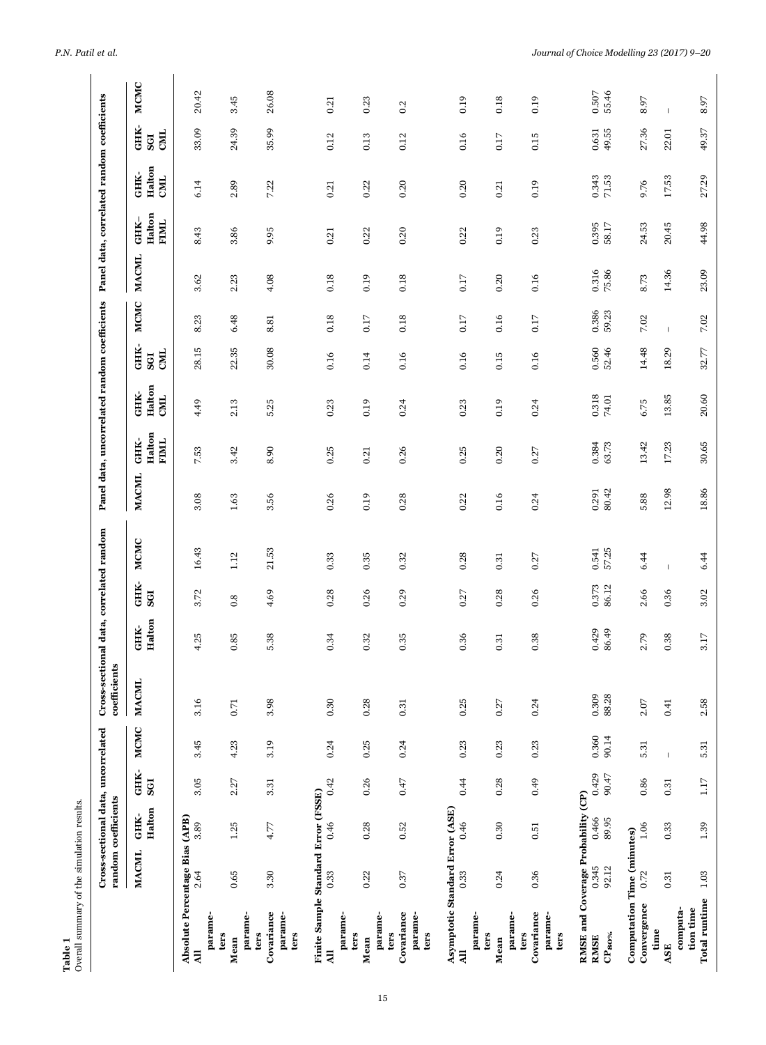| Overall summary of the simulation results.<br>Table 1                     |                |                                                           |                |                |                                                         |                  |                |                |                                              |                          |                              |                    |                |                |                        |                                            |                    |                    |
|---------------------------------------------------------------------------|----------------|-----------------------------------------------------------|----------------|----------------|---------------------------------------------------------|------------------|----------------|----------------|----------------------------------------------|--------------------------|------------------------------|--------------------|----------------|----------------|------------------------|--------------------------------------------|--------------------|--------------------|
|                                                                           |                | Cross-sectional data, uncorrelated<br>random coefficients |                |                | Cross-sectional data, correlated random<br>coefficients |                  |                |                | Panel data, uncorrelated random coefficients |                          |                              |                    |                |                |                        | Panel data, correlated random coefficients |                    |                    |
|                                                                           | <b>MACML</b>   | Halton<br>GHK-                                            | GHK-<br>SGI    | <b>MCMC</b>    | <b>MACML</b>                                            | Halton<br>GHK-   | GHK-<br>SGI    | MCMC           | <b>MACML</b>                                 | Halton<br>GHK-<br>FIMIL. | Halton<br>GHK-<br><b>CML</b> | GHK-<br>CML<br>SGI | MCMC           | <b>MACML</b>   | Halton<br>GHK-<br>FIML | Halton<br>GHK-<br>CMIL.                    | GHK-<br>CML<br>SGI | MCMC               |
| Absolute Percentage Bias (APB)<br>parame-<br>$\overline{a}$               | 2.64           | 3.89                                                      | 3.05           | 3.45           | 3.16                                                    | 4.25             | 3.72           | 16.43          | 3.08                                         | 7.53                     | 4.49                         | 28.15              | 8.23           | 3.62           | 8.43                   | 6.14                                       | 33.09              | 20.42              |
| parame-<br>ters<br>Mean                                                   | 0.65           | 1.25                                                      | 2.27           | 4.23           | $0.71\,$                                                | $\rm 0.85$       | 0.8            | 1.12           | $1.63\,$                                     | 3.42                     | 2.13                         | 22.35              | 6.48           | 2.23           | 3.86                   | 2.89                                       | 24.39              | 3.45               |
| Covariance<br>parame-<br>ters<br>ters                                     | 3.30           | 4.77                                                      | 3.31           | 3.19           | 3.98                                                    | 5.38             | 4.69           | 21.53          | 3.56                                         | 8.90                     | 5.25                         | 30.08              | 8.81           | 4.08           | 9.95                   | 7.22                                       | 35.99              | 26.08              |
| Finite Sample Standard Error (FSSE)<br>parame-<br>$\overline{a}$          | 0.33           | 0.46                                                      | 0.42           | 0.24           | 0.30                                                    | 0.34             | 0.28           | 0.33           | 0.26                                         | 0.25                     | 0.23                         | 0.16               | 0.18           | 0.18           | 0.21                   | 0.21                                       | 0.12               | 0.21               |
| parame-<br>ters<br>Mean                                                   | 0.22           | 0.28                                                      | 0.26           | 0.25           | 0.28                                                    | 0.32             | 0.26           | 0.35           | 0.19                                         | 0.21                     | 0.19                         | 0.14               | 0.17           | 0.19           | 0.22                   | 0.22                                       | 0.13               | 0.23               |
| Covariance<br>parame-<br>ters<br>ters                                     | $0.37\,$       | 0.52                                                      | $0.47$         | 0.24           | 0.31                                                    | 0.35             | 0.29           | 0.32           | 0.28                                         | 0.26                     | 0.24                         | 0.16               | 0.18           | 0.18           | 0.20                   | 0.20                                       | 0.12               | 0.2                |
| Asymptotic Standard Error (ASE)<br>parame-<br>$\overline{a}$              | 0.33           | 0.46                                                      | 0.44           | 0.23           | 0.25                                                    | 0.36             | 0.27           | 0.28           | 0.22                                         | 0.25                     | 0.23                         | 0.16               | $0.17$         | 0.17           | 0.22                   | 0.20                                       | 0.16               | 0.19               |
| parame-<br>ters<br>Mean                                                   | 0.24           | 0.30                                                      | 0.28           | 0.23           | 0.27                                                    | 0.31             | 0.28           | 0.31           | 0.16                                         | 0.20                     | 0.19                         | 0.15               | 0.16           | 0.20           | 0.19                   | 0.21                                       | 0.17               | 0.18               |
| Covariance<br>parame-<br>ters<br>ters                                     | 0.36           | 0.51                                                      | 0.49           | 0.23           | 0.24                                                    | 0.38             | 0.26           | 0.27           | 0.24                                         | 0.27                     | 0.24                         | 0.16               | 0.17           | 0.16           | 0.23                   | 0.19                                       | 0.15               | 0.19               |
| RMSE and Coverage Probability (CP)<br>$\mathbf{CP_{80\%}}$<br><b>RMSE</b> | 0.345<br>92.12 | 0.466<br>89.95                                            | 0.429<br>90.47 | 0.360<br>90.14 | 0.309<br>88.28                                          | $0.429$<br>86.49 | 0.373<br>86.12 | 0.541<br>57.25 | 80.42<br>0.291                               | 0.384<br>63.73           | 0.318<br>74.01               | 0.560<br>52.46     | 0.386<br>59.23 | 0.316<br>75.86 | 0.395<br>58.17         | $0.343$<br>71.53                           | 0.631<br>49.55     | $0.507\,$<br>55.46 |
| Computation Time (minutes)<br>Convergence                                 | 0.72           | 1.06                                                      | 0.86           | 5.31           | $2.07\,$                                                | 2.79             | 2.66           | 6.44           | 5.88                                         | 13.42                    | 6.75                         | 14.48              | 7.02           | 8.73           | 24.53                  | 9.76                                       | 27.36              | 8.97               |
| computa-<br>time<br>ASE                                                   | 0.31           | 0.33                                                      | 0.31           | $\mathsf I$    | 0.41                                                    | 0.38             | 0.36           | $\mathsf I$    | 12.98                                        | 17.23                    | 13.85                        | 18.29              | $\mathbb{I}$   | 14.36          | 20.45                  | 17.53                                      | 22.01              | $\mathsf I$        |
| Total runtime<br>tion time                                                | $1.03\,$       | 1.39                                                      | $1.17\,$       | 5.31           | 2.58                                                    | $3.17\,$         | 3.02           | 6.44           | 18.86                                        | 30.65                    | 20.60                        | $32.77$            | $7.02\,$       | 23.09          | 44.98                  | 27.29                                      | 49.37              | 8.97               |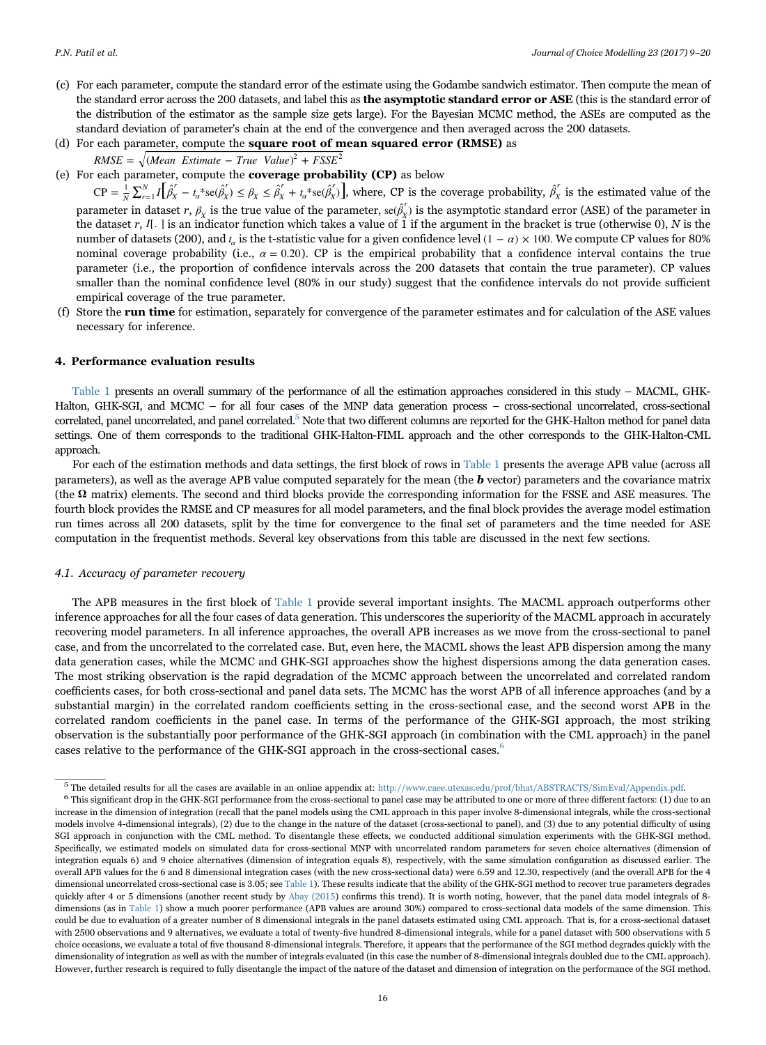- (c) For each parameter, compute the standard error of the estimate using the Godambe sandwich estimator. Then compute the mean of the standard error across the 200 datasets, and label this as the asymptotic standard error or ASE (this is the standard error of the distribution of the estimator as the sample size gets large). For the Bayesian MCMC method, the ASEs are computed as the standard deviation of parameter's chain at the end of the convergence and then averaged across the 200 datasets.
- (d) For each parameter, compute the square root of mean squared error (RMSE) as  $RMSE = \sqrt{(Mean Estimate - True Value)^2 + FSSE^2}$
- (e) For each parameter, compute the coverage probability (CP) as below

 $CP = \frac{1}{N} \sum_{r=1}^{N} I \left[ \hat{\beta}_{X}^{r} - t_{\alpha}^{*} \text{se}(\hat{\beta}_{X}^{r}) \leq \beta_{X} \leq \hat{\beta}_{X}^{r} + t_{\alpha}^{*} \text{se}(\hat{\beta}_{X}^{r}) \right]$  $\alpha$ <sup>*r*</sup> $t_{\alpha}$ <sup>\*</sup>se $(\hat{\beta}_{X}^{\prime})$  $X \sim \rho_X$  $\frac{1}{N}\sum_{r=1}^{N} I\left[\hat{\beta}_{X}^{r} - t_{\alpha}^{*}\text{se}(\hat{\beta}_{X}^{r}) \leq \beta_{X} \leq \hat{\beta}_{X}^{r} + t_{\alpha}^{*}\text{se}(\hat{\beta}_{X}^{r})\right]$ , where, CP is the coverage probability,  $\hat{\beta}_{X}^{r}$  is the estimated value of the parameter in dataset  $r$ ,  $\beta_X$  is the true value of the parameter,  $se(\beta_X^r)$  is the asymptotic standard error (ASE) of the parameter in the dataset r,  $I_{\cdot}$  is an indicator function which takes a value of 1 if the argument in the bracket is true (otherwise 0), N is the number of datasets (200), and  $t_a$  is the t-statistic value for a given confidence level (1 –  $\alpha$ ) × 100. We compute CP values for 80% nominal coverage probability (i.e.,  $\alpha = 0.20$ ). CP is the empirical probability that a confidence interval contains the true parameter (i.e., the proportion of confidence intervals across the 200 datasets that contain the true parameter). CP values smaller than the nominal confidence level (80% in our study) suggest that the confidence intervals do not provide sufficient empirical coverage of the true parameter.

(f) Store the run time for estimation, separately for convergence of the parameter estimates and for calculation of the ASE values necessary for inference.

# 4. Performance evaluation results

Table 1 presents an overall summary of the performance of all the estimation approaches considered in this study – MACML, GHK-Halton, GHK-SGI, and MCMC – for all four cases of the MNP data generation process – cross-sectional uncorrelated, cross-sectional correlated, panel uncorrelated, and panel correlated.<sup>5</sup> Note that two different columns are reported for the GHK-Halton method for panel data settings. One of them corresponds to the traditional GHK-Halton-FIML approach and the other corresponds to the GHK-Halton-CML approach.

For each of the estimation methods and data settings, the first block of rows in Table 1 presents the average APB value (across all parameters), as well as the average APB value computed separately for the mean (the  $\bm{b}$  vector) parameters and the covariance matrix (the **Ω** matrix) elements. The second and third blocks provide the corresponding information for the FSSE and ASE measures. The fourth block provides the RMSE and CP measures for all model parameters, and the final block provides the average model estimation run times across all 200 datasets, split by the time for convergence to the final set of parameters and the time needed for ASE computation in the frequentist methods. Several key observations from this table are discussed in the next few sections.

#### 4.1. Accuracy of parameter recovery

The APB measures in the first block of Table 1 provide several important insights. The MACML approach outperforms other inference approaches for all the four cases of data generation. This underscores the superiority of the MACML approach in accurately recovering model parameters. In all inference approaches, the overall APB increases as we move from the cross-sectional to panel case, and from the uncorrelated to the correlated case. But, even here, the MACML shows the least APB dispersion among the many data generation cases, while the MCMC and GHK-SGI approaches show the highest dispersions among the data generation cases. The most striking observation is the rapid degradation of the MCMC approach between the uncorrelated and correlated random coefficients cases, for both cross-sectional and panel data sets. The MCMC has the worst APB of all inference approaches (and by a substantial margin) in the correlated random coefficients setting in the cross-sectional case, and the second worst APB in the correlated random coefficients in the panel case. In terms of the performance of the GHK-SGI approach, the most striking observation is the substantially poor performance of the GHK-SGI approach (in combination with the CML approach) in the panel cases relative to the performance of the GHK-SGI approach in the cross-sectional cases.<sup>6</sup>

 $\frac{5}{10}$  The detailed results for all the cases are available in an online appendix at: http://www.caee.utexas.edu/prof/bhat/ABSTRACTS/SimEval/Appendix.pdf.<br>6 This significant drop in the GHK-SGI performance from the cr increase in the dimension of integration (recall that the panel models using the CML approach in this paper involve 8-dimensional integrals, while the cross-sectional models involve 4-dimensional integrals), (2) due to the change in the nature of the dataset (cross-sectional to panel), and (3) due to any potential difficulty of using SGI approach in conjunction with the CML method. To disentangle these effects, we conducted additional simulation experiments with the GHK-SGI method. Specifically, we estimated models on simulated data for cross-sectional MNP with uncorrelated random parameters for seven choice alternatives (dimension of integration equals 6) and 9 choice alternatives (dimension of integration equals 8), respectively, with the same simulation configuration as discussed earlier. The overall APB values for the 6 and 8 dimensional integration cases (with the new cross-sectional data) were 6.59 and 12.30, respectively (and the overall APB for the 4 dimensional uncorrelated cross-sectional case is 3.05; see Table 1). These results indicate that the ability of the GHK-SGI method to recover true parameters degrades quickly after 4 or 5 dimensions (another recent study by Abay (2015) confirms this trend). It is worth noting, however, that the panel data model integrals of 8 dimensions (as in Table 1) show a much poorer performance (APB values are around 30%) compared to cross-sectional data models of the same dimension. This could be due to evaluation of a greater number of 8 dimensional integrals in the panel datasets estimated using CML approach. That is, for a cross-sectional dataset with 2500 observations and 9 alternatives, we evaluate a total of twenty-five hundred 8-dimensional integrals, while for a panel dataset with 500 observations with 5 choice occasions, we evaluate a total of five thousand 8-dimensional integrals. Therefore, it appears that the performance of the SGI method degrades quickly with the dimensionality of integration as well as with the number of integrals evaluated (in this case the number of 8-dimensional integrals doubled due to the CML approach). However, further research is required to fully disentangle the impact of the nature of the dataset and dimension of integration on the performance of the SGI method.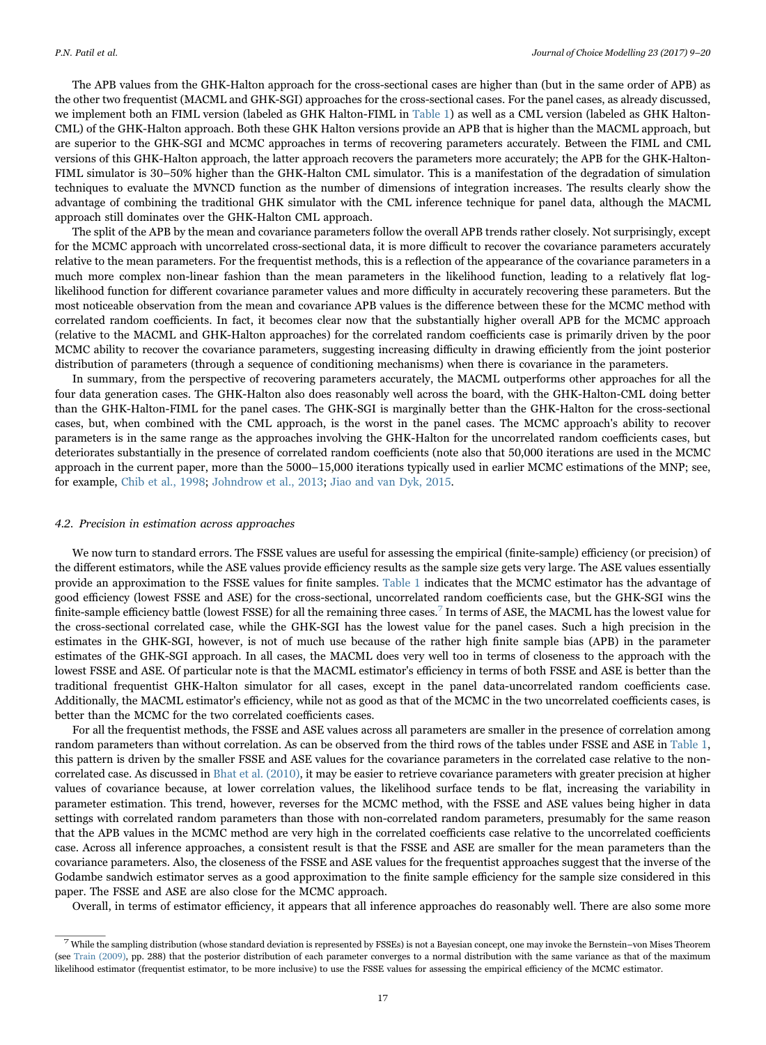The APB values from the GHK-Halton approach for the cross-sectional cases are higher than (but in the same order of APB) as the other two frequentist (MACML and GHK-SGI) approaches for the cross-sectional cases. For the panel cases, as already discussed, we implement both an FIML version (labeled as GHK Halton-FIML in Table 1) as well as a CML version (labeled as GHK Halton-CML) of the GHK-Halton approach. Both these GHK Halton versions provide an APB that is higher than the MACML approach, but are superior to the GHK-SGI and MCMC approaches in terms of recovering parameters accurately. Between the FIML and CML versions of this GHK-Halton approach, the latter approach recovers the parameters more accurately; the APB for the GHK-Halton-FIML simulator is 30–50% higher than the GHK-Halton CML simulator. This is a manifestation of the degradation of simulation techniques to evaluate the MVNCD function as the number of dimensions of integration increases. The results clearly show the advantage of combining the traditional GHK simulator with the CML inference technique for panel data, although the MACML approach still dominates over the GHK-Halton CML approach.

The split of the APB by the mean and covariance parameters follow the overall APB trends rather closely. Not surprisingly, except for the MCMC approach with uncorrelated cross-sectional data, it is more difficult to recover the covariance parameters accurately relative to the mean parameters. For the frequentist methods, this is a reflection of the appearance of the covariance parameters in a much more complex non-linear fashion than the mean parameters in the likelihood function, leading to a relatively flat loglikelihood function for different covariance parameter values and more difficulty in accurately recovering these parameters. But the most noticeable observation from the mean and covariance APB values is the difference between these for the MCMC method with correlated random coefficients. In fact, it becomes clear now that the substantially higher overall APB for the MCMC approach (relative to the MACML and GHK-Halton approaches) for the correlated random coefficients case is primarily driven by the poor MCMC ability to recover the covariance parameters, suggesting increasing difficulty in drawing efficiently from the joint posterior distribution of parameters (through a sequence of conditioning mechanisms) when there is covariance in the parameters.

In summary, from the perspective of recovering parameters accurately, the MACML outperforms other approaches for all the four data generation cases. The GHK-Halton also does reasonably well across the board, with the GHK-Halton-CML doing better than the GHK-Halton-FIML for the panel cases. The GHK-SGI is marginally better than the GHK-Halton for the cross-sectional cases, but, when combined with the CML approach, is the worst in the panel cases. The MCMC approach's ability to recover parameters is in the same range as the approaches involving the GHK-Halton for the uncorrelated random coefficients cases, but deteriorates substantially in the presence of correlated random coefficients (note also that 50,000 iterations are used in the MCMC approach in the current paper, more than the 5000–15,000 iterations typically used in earlier MCMC estimations of the MNP; see, for example, Chib et al., 1998; Johndrow et al., 2013; Jiao and van Dyk, 2015.

#### 4.2. Precision in estimation across approaches

We now turn to standard errors. The FSSE values are useful for assessing the empirical (finite-sample) efficiency (or precision) of the different estimators, while the ASE values provide efficiency results as the sample size gets very large. The ASE values essentially provide an approximation to the FSSE values for finite samples. Table 1 indicates that the MCMC estimator has the advantage of good efficiency (lowest FSSE and ASE) for the cross-sectional, uncorrelated random coefficients case, but the GHK-SGI wins the finite-sample efficiency battle (lowest FSSE) for all the remaining three cases.<sup>7</sup> In terms of ASE, the MACML has the lowest value for the cross-sectional correlated case, while the GHK-SGI has the lowest value for the panel cases. Such a high precision in the estimates in the GHK-SGI, however, is not of much use because of the rather high finite sample bias (APB) in the parameter estimates of the GHK-SGI approach. In all cases, the MACML does very well too in terms of closeness to the approach with the lowest FSSE and ASE. Of particular note is that the MACML estimator's efficiency in terms of both FSSE and ASE is better than the traditional frequentist GHK-Halton simulator for all cases, except in the panel data-uncorrelated random coefficients case. Additionally, the MACML estimator's efficiency, while not as good as that of the MCMC in the two uncorrelated coefficients cases, is better than the MCMC for the two correlated coefficients cases.

For all the frequentist methods, the FSSE and ASE values across all parameters are smaller in the presence of correlation among random parameters than without correlation. As can be observed from the third rows of the tables under FSSE and ASE in Table 1, this pattern is driven by the smaller FSSE and ASE values for the covariance parameters in the correlated case relative to the noncorrelated case. As discussed in Bhat et al. (2010), it may be easier to retrieve covariance parameters with greater precision at higher values of covariance because, at lower correlation values, the likelihood surface tends to be flat, increasing the variability in parameter estimation. This trend, however, reverses for the MCMC method, with the FSSE and ASE values being higher in data settings with correlated random parameters than those with non-correlated random parameters, presumably for the same reason that the APB values in the MCMC method are very high in the correlated coefficients case relative to the uncorrelated coefficients case. Across all inference approaches, a consistent result is that the FSSE and ASE are smaller for the mean parameters than the covariance parameters. Also, the closeness of the FSSE and ASE values for the frequentist approaches suggest that the inverse of the Godambe sandwich estimator serves as a good approximation to the finite sample efficiency for the sample size considered in this paper. The FSSE and ASE are also close for the MCMC approach.

Overall, in terms of estimator efficiency, it appears that all inference approaches do reasonably well. There are also some more

 $^7$  While the sampling distribution (whose standard deviation is represented by FSSEs) is not a Bayesian concept, one may invoke the Bernstein–von Mises Theorem (see Train (2009), pp. 288) that the posterior distribution of each parameter converges to a normal distribution with the same variance as that of the maximum likelihood estimator (frequentist estimator, to be more inclusive) to use the FSSE values for assessing the empirical efficiency of the MCMC estimator.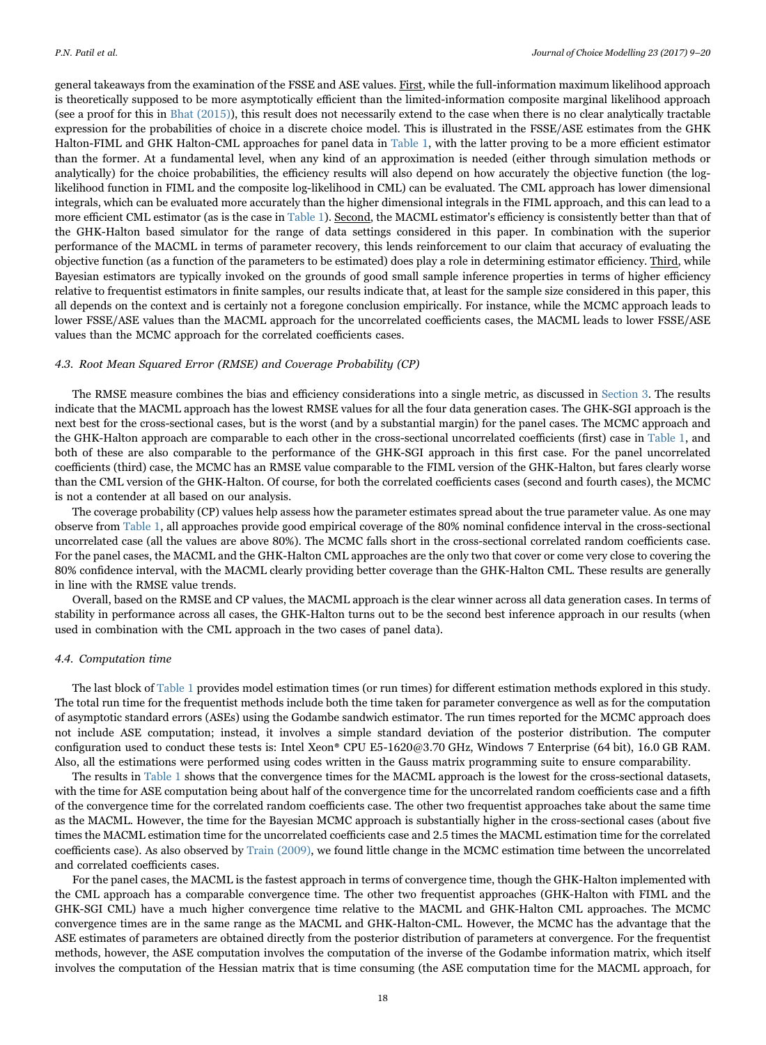general takeaways from the examination of the FSSE and ASE values. First, while the full-information maximum likelihood approach is theoretically supposed to be more asymptotically efficient than the limited-information composite marginal likelihood approach (see a proof for this in Bhat (2015)), this result does not necessarily extend to the case when there is no clear analytically tractable expression for the probabilities of choice in a discrete choice model. This is illustrated in the FSSE/ASE estimates from the GHK Halton-FIML and GHK Halton-CML approaches for panel data in Table 1, with the latter proving to be a more efficient estimator than the former. At a fundamental level, when any kind of an approximation is needed (either through simulation methods or analytically) for the choice probabilities, the efficiency results will also depend on how accurately the objective function (the loglikelihood function in FIML and the composite log-likelihood in CML) can be evaluated. The CML approach has lower dimensional integrals, which can be evaluated more accurately than the higher dimensional integrals in the FIML approach, and this can lead to a more efficient CML estimator (as is the case in Table 1). Second, the MACML estimator's efficiency is consistently better than that of the GHK-Halton based simulator for the range of data settings considered in this paper. In combination with the superior performance of the MACML in terms of parameter recovery, this lends reinforcement to our claim that accuracy of evaluating the objective function (as a function of the parameters to be estimated) does play a role in determining estimator efficiency. Third, while Bayesian estimators are typically invoked on the grounds of good small sample inference properties in terms of higher efficiency relative to frequentist estimators in finite samples, our results indicate that, at least for the sample size considered in this paper, this all depends on the context and is certainly not a foregone conclusion empirically. For instance, while the MCMC approach leads to lower FSSE/ASE values than the MACML approach for the uncorrelated coefficients cases, the MACML leads to lower FSSE/ASE values than the MCMC approach for the correlated coefficients cases.

#### 4.3. Root Mean Squared Error (RMSE) and Coverage Probability (CP)

The RMSE measure combines the bias and efficiency considerations into a single metric, as discussed in Section 3. The results indicate that the MACML approach has the lowest RMSE values for all the four data generation cases. The GHK-SGI approach is the next best for the cross-sectional cases, but is the worst (and by a substantial margin) for the panel cases. The MCMC approach and the GHK-Halton approach are comparable to each other in the cross-sectional uncorrelated coefficients (first) case in Table 1, and both of these are also comparable to the performance of the GHK-SGI approach in this first case. For the panel uncorrelated coefficients (third) case, the MCMC has an RMSE value comparable to the FIML version of the GHK-Halton, but fares clearly worse than the CML version of the GHK-Halton. Of course, for both the correlated coefficients cases (second and fourth cases), the MCMC is not a contender at all based on our analysis.

The coverage probability (CP) values help assess how the parameter estimates spread about the true parameter value. As one may observe from Table 1, all approaches provide good empirical coverage of the 80% nominal confidence interval in the cross-sectional uncorrelated case (all the values are above 80%). The MCMC falls short in the cross-sectional correlated random coefficients case. For the panel cases, the MACML and the GHK-Halton CML approaches are the only two that cover or come very close to covering the 80% confidence interval, with the MACML clearly providing better coverage than the GHK-Halton CML. These results are generally in line with the RMSE value trends.

Overall, based on the RMSE and CP values, the MACML approach is the clear winner across all data generation cases. In terms of stability in performance across all cases, the GHK-Halton turns out to be the second best inference approach in our results (when used in combination with the CML approach in the two cases of panel data).

#### 4.4. Computation time

The last block of Table 1 provides model estimation times (or run times) for different estimation methods explored in this study. The total run time for the frequentist methods include both the time taken for parameter convergence as well as for the computation of asymptotic standard errors (ASEs) using the Godambe sandwich estimator. The run times reported for the MCMC approach does not include ASE computation; instead, it involves a simple standard deviation of the posterior distribution. The computer configuration used to conduct these tests is: Intel Xeon® CPU E5-1620@3.70 GHz, Windows 7 Enterprise (64 bit), 16.0 GB RAM. Also, all the estimations were performed using codes written in the Gauss matrix programming suite to ensure comparability.

The results in Table 1 shows that the convergence times for the MACML approach is the lowest for the cross-sectional datasets, with the time for ASE computation being about half of the convergence time for the uncorrelated random coefficients case and a fifth of the convergence time for the correlated random coefficients case. The other two frequentist approaches take about the same time as the MACML. However, the time for the Bayesian MCMC approach is substantially higher in the cross-sectional cases (about five times the MACML estimation time for the uncorrelated coefficients case and 2.5 times the MACML estimation time for the correlated coefficients case). As also observed by Train (2009), we found little change in the MCMC estimation time between the uncorrelated and correlated coefficients cases.

For the panel cases, the MACML is the fastest approach in terms of convergence time, though the GHK-Halton implemented with the CML approach has a comparable convergence time. The other two frequentist approaches (GHK-Halton with FIML and the GHK-SGI CML) have a much higher convergence time relative to the MACML and GHK-Halton CML approaches. The MCMC convergence times are in the same range as the MACML and GHK-Halton-CML. However, the MCMC has the advantage that the ASE estimates of parameters are obtained directly from the posterior distribution of parameters at convergence. For the frequentist methods, however, the ASE computation involves the computation of the inverse of the Godambe information matrix, which itself involves the computation of the Hessian matrix that is time consuming (the ASE computation time for the MACML approach, for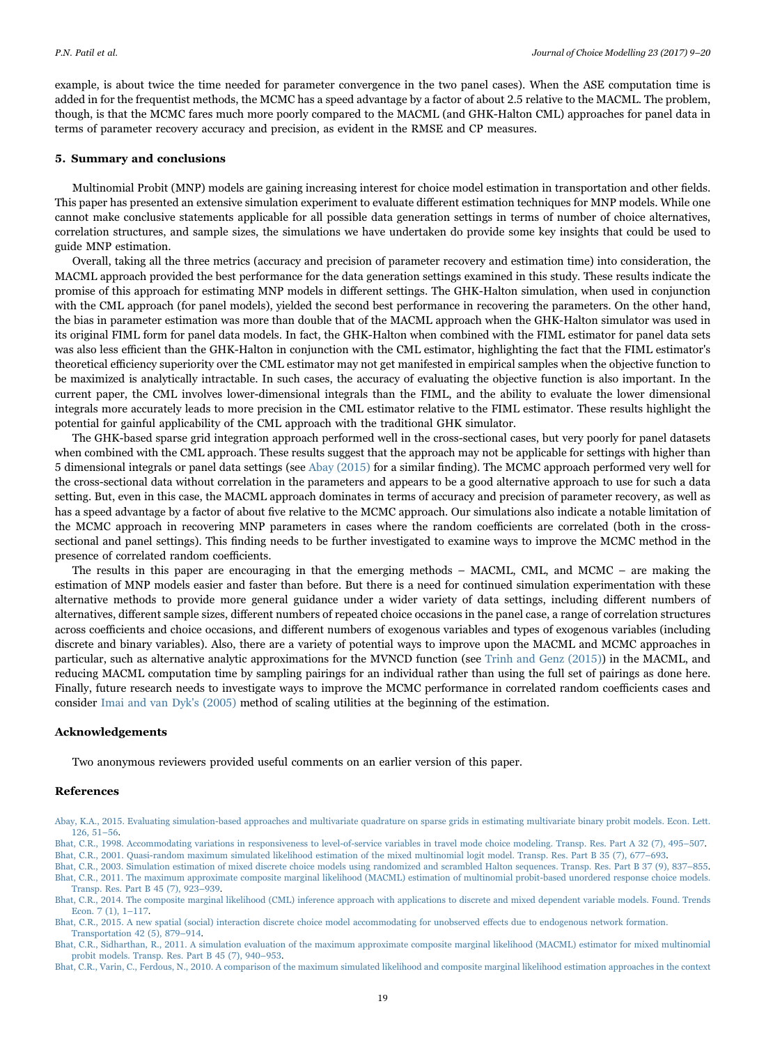example, is about twice the time needed for parameter convergence in the two panel cases). When the ASE computation time is added in for the frequentist methods, the MCMC has a speed advantage by a factor of about 2.5 relative to the MACML. The problem, though, is that the MCMC fares much more poorly compared to the MACML (and GHK-Halton CML) approaches for panel data in terms of parameter recovery accuracy and precision, as evident in the RMSE and CP measures.

#### 5. Summary and conclusions

Multinomial Probit (MNP) models are gaining increasing interest for choice model estimation in transportation and other fields. This paper has presented an extensive simulation experiment to evaluate different estimation techniques for MNP models. While one cannot make conclusive statements applicable for all possible data generation settings in terms of number of choice alternatives, correlation structures, and sample sizes, the simulations we have undertaken do provide some key insights that could be used to guide MNP estimation.

Overall, taking all the three metrics (accuracy and precision of parameter recovery and estimation time) into consideration, the MACML approach provided the best performance for the data generation settings examined in this study. These results indicate the promise of this approach for estimating MNP models in different settings. The GHK-Halton simulation, when used in conjunction with the CML approach (for panel models), yielded the second best performance in recovering the parameters. On the other hand, the bias in parameter estimation was more than double that of the MACML approach when the GHK-Halton simulator was used in its original FIML form for panel data models. In fact, the GHK-Halton when combined with the FIML estimator for panel data sets was also less efficient than the GHK-Halton in conjunction with the CML estimator, highlighting the fact that the FIML estimator's theoretical efficiency superiority over the CML estimator may not get manifested in empirical samples when the objective function to be maximized is analytically intractable. In such cases, the accuracy of evaluating the objective function is also important. In the current paper, the CML involves lower-dimensional integrals than the FIML, and the ability to evaluate the lower dimensional integrals more accurately leads to more precision in the CML estimator relative to the FIML estimator. These results highlight the potential for gainful applicability of the CML approach with the traditional GHK simulator.

The GHK-based sparse grid integration approach performed well in the cross-sectional cases, but very poorly for panel datasets when combined with the CML approach. These results suggest that the approach may not be applicable for settings with higher than 5 dimensional integrals or panel data settings (see Abay (2015) for a similar finding). The MCMC approach performed very well for the cross-sectional data without correlation in the parameters and appears to be a good alternative approach to use for such a data setting. But, even in this case, the MACML approach dominates in terms of accuracy and precision of parameter recovery, as well as has a speed advantage by a factor of about five relative to the MCMC approach. Our simulations also indicate a notable limitation of the MCMC approach in recovering MNP parameters in cases where the random coefficients are correlated (both in the crosssectional and panel settings). This finding needs to be further investigated to examine ways to improve the MCMC method in the presence of correlated random coefficients.

The results in this paper are encouraging in that the emerging methods – MACML, CML, and MCMC – are making the estimation of MNP models easier and faster than before. But there is a need for continued simulation experimentation with these alternative methods to provide more general guidance under a wider variety of data settings, including different numbers of alternatives, different sample sizes, different numbers of repeated choice occasions in the panel case, a range of correlation structures across coefficients and choice occasions, and different numbers of exogenous variables and types of exogenous variables (including discrete and binary variables). Also, there are a variety of potential ways to improve upon the MACML and MCMC approaches in particular, such as alternative analytic approximations for the MVNCD function (see Trinh and Genz (2015)) in the MACML, and reducing MACML computation time by sampling pairings for an individual rather than using the full set of pairings as done here. Finally, future research needs to investigate ways to improve the MCMC performance in correlated random coefficients cases and consider Imai and van Dyk's (2005) method of scaling utilities at the beginning of the estimation.

# Acknowledgements

Two anonymous reviewers provided useful comments on an earlier version of this paper.

# References

- Abay, K.A., 2015. Evaluating simulation-based approaches and multivariate quadrature on sparse grids in estimating multivariate binary probit models. Econ. Lett. 126, 51–56.
- Bhat, C.R., 1998. Accommodating variations in responsiveness to level-of-service variables in travel mode choice modeling. Transp. Res. Part A 32 (7), 495–507.
- Bhat, C.R., 2001. Quasi-random maximum simulated likelihood estimation of the mixed multinomial logit model. Transp. Res. Part B 35 (7), 677–693.
- Bhat, C.R., 2003. Simulation estimation of mixed discrete choice models using randomized and scrambled Halton sequences. Transp. Res. Part B 37 (9), 837–855. Bhat, C.R., 2011. The maximum approximate composite marginal likelihood (MACML) estimation of multinomial probit-based unordered response choice models. Transp. Res. Part B 45 (7), 923–939.
- Bhat, C.R., 2014. The composite marginal likelihood (CML) inference approach with applications to discrete and mixed dependent variable models. Found. Trends Econ. 7 (1), 1–117.
- Bhat, C.R., 2015. A new spatial (social) interaction discrete choice model accommodating for unobserved effects due to endogenous network formation. Transportation 42 (5), 879–914.

Bhat, C.R., Sidharthan, R., 2011. A simulation evaluation of the maximum approximate composite marginal likelihood (MACML) estimator for mixed multinomial probit models. Transp. Res. Part B 45 (7), 940–953.

Bhat, C.R., Varin, C., Ferdous, N., 2010. A comparison of the maximum simulated likelihood and composite marginal likelihood estimation approaches in the context